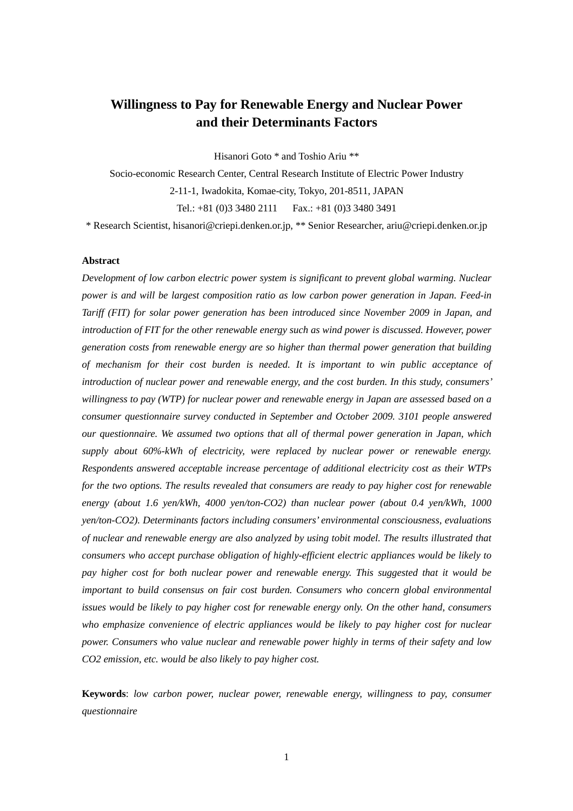# **Willingness to Pay for Renewable Energy and Nuclear Power and their Determinants Factors**

Hisanori Goto \* and Toshio Ariu \*\*

Socio-economic Research Center, Central Research Institute of Electric Power Industry 2-11-1, Iwadokita, Komae-city, Tokyo, 201-8511, JAPAN Tel.: +81 (0)3 3480 2111 Fax.: +81 (0)3 3480 3491

\* Research Scientist, hisanori@criepi.denken.or.jp, \*\* Senior Researcher, ariu@criepi.denken.or.jp

### **Abstract**

*Development of low carbon electric power system is significant to prevent global warming. Nuclear power is and will be largest composition ratio as low carbon power generation in Japan. Feed-in Tariff (FIT) for solar power generation has been introduced since November 2009 in Japan, and introduction of FIT for the other renewable energy such as wind power is discussed. However, power generation costs from renewable energy are so higher than thermal power generation that building of mechanism for their cost burden is needed. It is important to win public acceptance of introduction of nuclear power and renewable energy, and the cost burden. In this study, consumers' willingness to pay (WTP) for nuclear power and renewable energy in Japan are assessed based on a consumer questionnaire survey conducted in September and October 2009. 3101 people answered our questionnaire. We assumed two options that all of thermal power generation in Japan, which supply about 60%-kWh of electricity, were replaced by nuclear power or renewable energy. Respondents answered acceptable increase percentage of additional electricity cost as their WTPs for the two options. The results revealed that consumers are ready to pay higher cost for renewable energy (about 1.6 yen/kWh, 4000 yen/ton-CO2) than nuclear power (about 0.4 yen/kWh, 1000 yen/ton-CO2). Determinants factors including consumers' environmental consciousness, evaluations of nuclear and renewable energy are also analyzed by using tobit model. The results illustrated that consumers who accept purchase obligation of highly-efficient electric appliances would be likely to pay higher cost for both nuclear power and renewable energy. This suggested that it would be important to build consensus on fair cost burden. Consumers who concern global environmental issues would be likely to pay higher cost for renewable energy only. On the other hand, consumers who emphasize convenience of electric appliances would be likely to pay higher cost for nuclear power. Consumers who value nuclear and renewable power highly in terms of their safety and low CO2 emission, etc. would be also likely to pay higher cost.* 

**Keywords**: *low carbon power, nuclear power, renewable energy, willingness to pay, consumer questionnaire*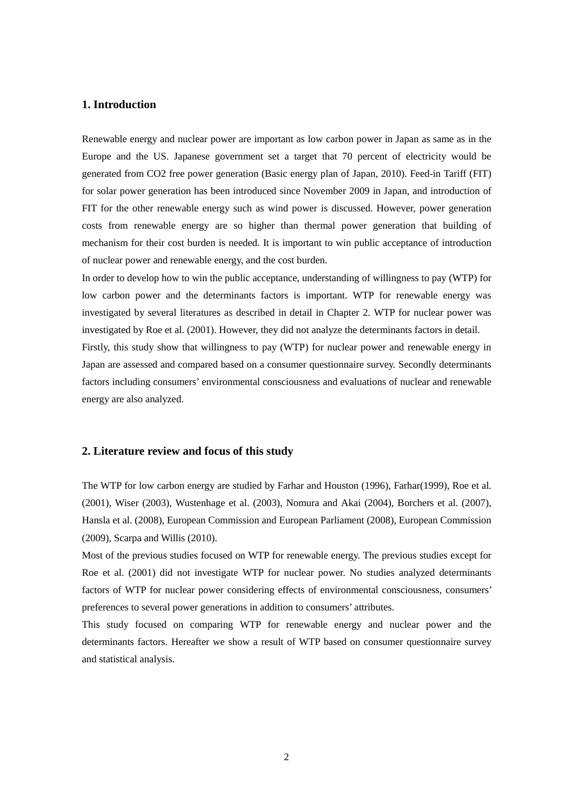# **1. Introduction**

Renewable energy and nuclear power are important as low carbon power in Japan as same as in the Europe and the US. Japanese government set a target that 70 percent of electricity would be generated from CO2 free power generation (Basic energy plan of Japan, 2010). Feed-in Tariff (FIT) for solar power generation has been introduced since November 2009 in Japan, and introduction of FIT for the other renewable energy such as wind power is discussed. However, power generation costs from renewable energy are so higher than thermal power generation that building of mechanism for their cost burden is needed. It is important to win public acceptance of introduction of nuclear power and renewable energy, and the cost burden.

In order to develop how to win the public acceptance, understanding of willingness to pay (WTP) for low carbon power and the determinants factors is important. WTP for renewable energy was investigated by several literatures as described in detail in Chapter 2. WTP for nuclear power was investigated by Roe et al. (2001). However, they did not analyze the determinants factors in detail. Firstly, this study show that willingness to pay (WTP) for nuclear power and renewable energy in Japan are assessed and compared based on a consumer questionnaire survey. Secondly determinants factors including consumers' environmental consciousness and evaluations of nuclear and renewable energy are also analyzed.

## **2. Literature review and focus of this study**

The WTP for low carbon energy are studied by Farhar and Houston (1996), Farhar(1999), Roe et al. (2001), Wiser (2003), Wustenhage et al. (2003), Nomura and Akai (2004), Borchers et al. (2007), Hansla et al. (2008), European Commission and European Parliament (2008), European Commission (2009), Scarpa and Willis (2010).

Most of the previous studies focused on WTP for renewable energy. The previous studies except for Roe et al. (2001) did not investigate WTP for nuclear power. No studies analyzed determinants factors of WTP for nuclear power considering effects of environmental consciousness, consumers' preferences to several power generations in addition to consumers' attributes.

This study focused on comparing WTP for renewable energy and nuclear power and the determinants factors. Hereafter we show a result of WTP based on consumer questionnaire survey and statistical analysis.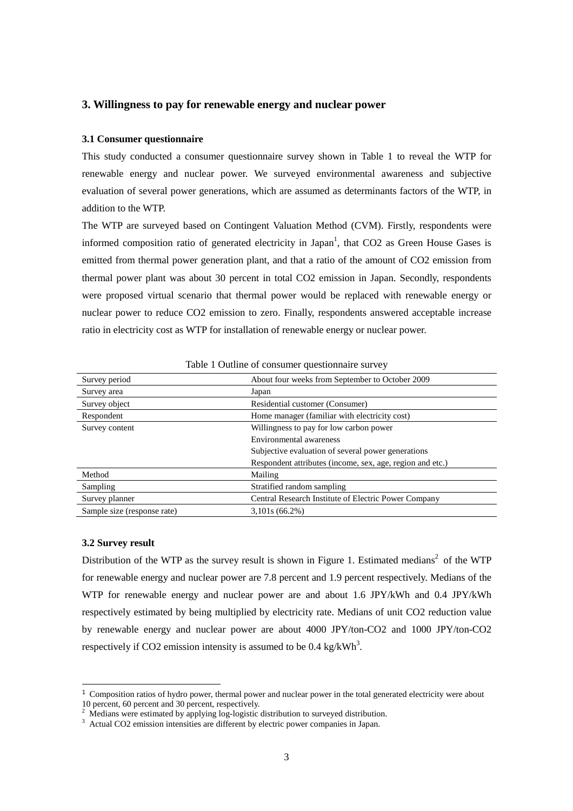# **3. Willingness to pay for renewable energy and nuclear power**

## **3.1 Consumer questionnaire**

This study conducted a consumer questionnaire survey shown in Table 1 to reveal the WTP for renewable energy and nuclear power. We surveyed environmental awareness and subjective evaluation of several power generations, which are assumed as determinants factors of the WTP, in addition to the WTP.

The WTP are surveyed based on Contingent Valuation Method (CVM). Firstly, respondents were informed composition ratio of generated electricity in Japan<sup>1</sup>, that CO2 as Green House Gases is emitted from thermal power generation plant, and that a ratio of the amount of CO2 emission from thermal power plant was about 30 percent in total CO2 emission in Japan. Secondly, respondents were proposed virtual scenario that thermal power would be replaced with renewable energy or nuclear power to reduce CO2 emission to zero. Finally, respondents answered acceptable increase ratio in electricity cost as WTP for installation of renewable energy or nuclear power.

| Survey period               | About four weeks from September to October 2009           |
|-----------------------------|-----------------------------------------------------------|
| Survey area                 | Japan                                                     |
| Survey object               | Residential customer (Consumer)                           |
| Respondent                  | Home manager (familiar with electricity cost)             |
| Survey content              | Willingness to pay for low carbon power                   |
|                             | Environmental awareness                                   |
|                             | Subjective evaluation of several power generations        |
|                             | Respondent attributes (income, sex, age, region and etc.) |
| Method                      | Mailing                                                   |
| Sampling                    | Stratified random sampling                                |
| Survey planner              | Central Research Institute of Electric Power Company      |
| Sample size (response rate) | $3,101s(66.2\%)$                                          |

|  |  | Table 1 Outline of consumer questionnaire survey |  |  |
|--|--|--------------------------------------------------|--|--|
|  |  |                                                  |  |  |

#### **3.2 Survey result**

Distribution of the WTP as the survey result is shown in Figure 1. Estimated medians<sup>2</sup> of the WTP for renewable energy and nuclear power are 7.8 percent and 1.9 percent respectively. Medians of the WTP for renewable energy and nuclear power are and about 1.6 JPY/kWh and 0.4 JPY/kWh respectively estimated by being multiplied by electricity rate. Medians of unit CO2 reduction value by renewable energy and nuclear power are about 4000 JPY/ton-CO2 and 1000 JPY/ton-CO2 respectively if CO2 emission intensity is assumed to be  $0.4 \text{ kg/kWh}^3$ .

 $1$  Composition ratios of hydro power, thermal power and nuclear power in the total generated electricity were about 10 percent, 60 percent and 30 percent, respectively.<br><sup>2</sup> Medians were estimated by applying log-logistic distribution to surveyed distribution.

<sup>&</sup>lt;sup>3</sup> Actual CO2 emission intensities are different by electric power companies in Japan.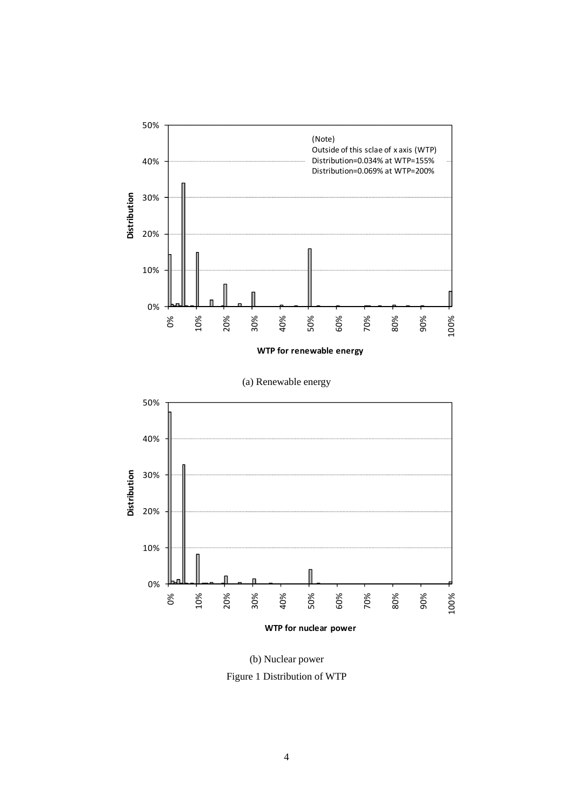

**WTP for renewable energy**





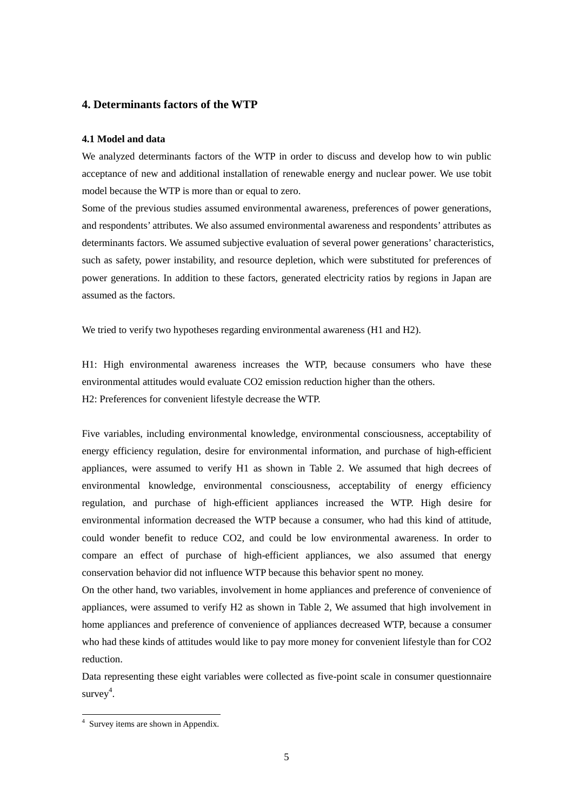# **4. Determinants factors of the WTP**

#### **4.1 Model and data**

We analyzed determinants factors of the WTP in order to discuss and develop how to win public acceptance of new and additional installation of renewable energy and nuclear power. We use tobit model because the WTP is more than or equal to zero.

Some of the previous studies assumed environmental awareness, preferences of power generations, and respondents' attributes. We also assumed environmental awareness and respondents' attributes as determinants factors. We assumed subjective evaluation of several power generations' characteristics, such as safety, power instability, and resource depletion, which were substituted for preferences of power generations. In addition to these factors, generated electricity ratios by regions in Japan are assumed as the factors.

We tried to verify two hypotheses regarding environmental awareness (H1 and H2).

H1: High environmental awareness increases the WTP, because consumers who have these environmental attitudes would evaluate CO2 emission reduction higher than the others. H2: Preferences for convenient lifestyle decrease the WTP.

Five variables, including environmental knowledge, environmental consciousness, acceptability of energy efficiency regulation, desire for environmental information, and purchase of high-efficient appliances, were assumed to verify H1 as shown in Table 2. We assumed that high decrees of environmental knowledge, environmental consciousness, acceptability of energy efficiency regulation, and purchase of high-efficient appliances increased the WTP. High desire for environmental information decreased the WTP because a consumer, who had this kind of attitude, could wonder benefit to reduce CO2, and could be low environmental awareness. In order to compare an effect of purchase of high-efficient appliances, we also assumed that energy conservation behavior did not influence WTP because this behavior spent no money.

On the other hand, two variables, involvement in home appliances and preference of convenience of appliances, were assumed to verify H2 as shown in Table 2, We assumed that high involvement in home appliances and preference of convenience of appliances decreased WTP, because a consumer who had these kinds of attitudes would like to pay more money for convenient lifestyle than for CO2 reduction.

Data representing these eight variables were collected as five-point scale in consumer questionnaire survey<sup>4</sup>.

<sup>4</sup> Survey items are shown in Appendix.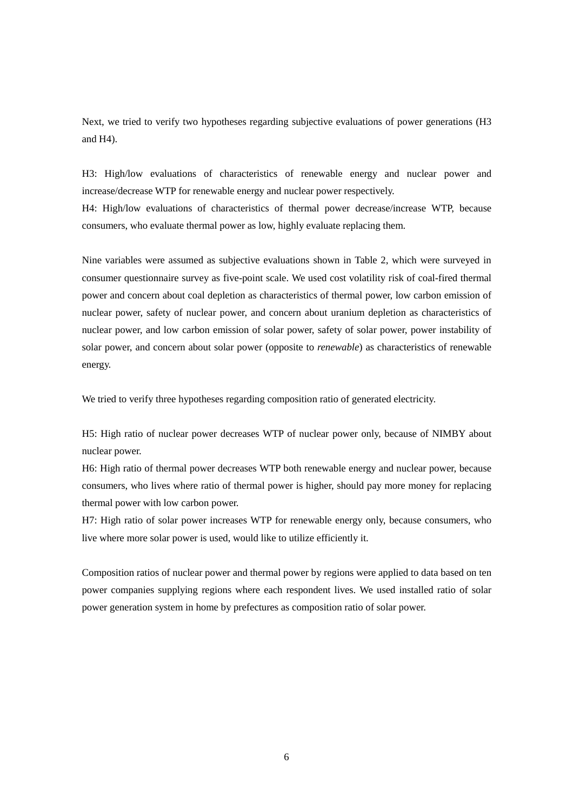Next, we tried to verify two hypotheses regarding subjective evaluations of power generations (H3 and H4).

H3: High/low evaluations of characteristics of renewable energy and nuclear power and increase/decrease WTP for renewable energy and nuclear power respectively.

H4: High/low evaluations of characteristics of thermal power decrease/increase WTP, because consumers, who evaluate thermal power as low, highly evaluate replacing them.

Nine variables were assumed as subjective evaluations shown in Table 2, which were surveyed in consumer questionnaire survey as five-point scale. We used cost volatility risk of coal-fired thermal power and concern about coal depletion as characteristics of thermal power, low carbon emission of nuclear power, safety of nuclear power, and concern about uranium depletion as characteristics of nuclear power, and low carbon emission of solar power, safety of solar power, power instability of solar power, and concern about solar power (opposite to *renewable*) as characteristics of renewable energy.

We tried to verify three hypotheses regarding composition ratio of generated electricity.

H5: High ratio of nuclear power decreases WTP of nuclear power only, because of NIMBY about nuclear power.

H6: High ratio of thermal power decreases WTP both renewable energy and nuclear power, because consumers, who lives where ratio of thermal power is higher, should pay more money for replacing thermal power with low carbon power.

H7: High ratio of solar power increases WTP for renewable energy only, because consumers, who live where more solar power is used, would like to utilize efficiently it.

Composition ratios of nuclear power and thermal power by regions were applied to data based on ten power companies supplying regions where each respondent lives. We used installed ratio of solar power generation system in home by prefectures as composition ratio of solar power.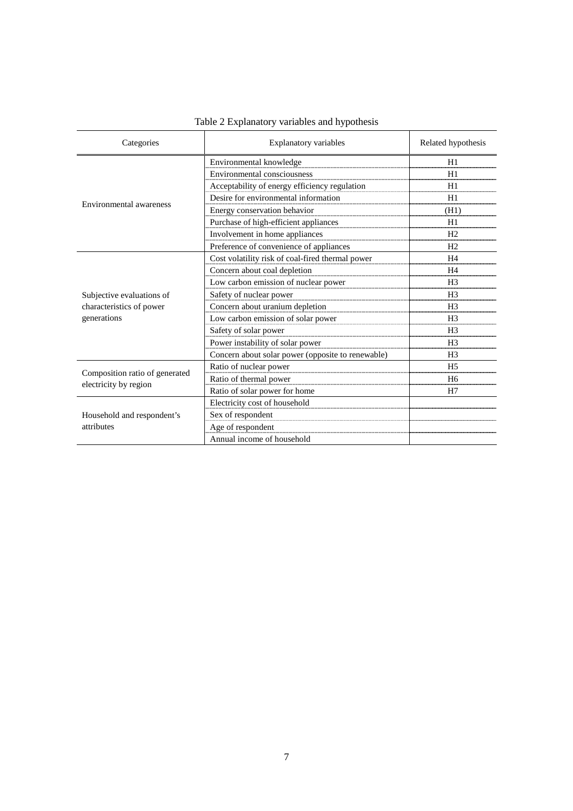| Categories                                              | <b>Explanatory variables</b>                      | Related hypothesis |
|---------------------------------------------------------|---------------------------------------------------|--------------------|
|                                                         | Environmental knowledge                           | H1                 |
|                                                         | Environmental consciousness                       | H1                 |
|                                                         | Acceptability of energy efficiency regulation     | H1                 |
| Environmental awareness                                 | Desire for environmental information              | H1                 |
|                                                         | Energy conservation behavior                      | (H1)               |
|                                                         | Purchase of high-efficient appliances             | H1                 |
|                                                         | Involvement in home appliances                    | H <sub>2</sub>     |
|                                                         | Preference of convenience of appliances           | H <sub>2</sub>     |
|                                                         | Cost volatility risk of coal-fired thermal power  | H4                 |
|                                                         | Concern about coal depletion                      | H4                 |
|                                                         | Low carbon emission of nuclear power              | H <sub>3</sub>     |
| Subjective evaluations of                               | Safety of nuclear power                           | H <sub>3</sub>     |
| characteristics of power<br>generations                 | Concern about uranium depletion                   | H <sub>3</sub>     |
|                                                         | Low carbon emission of solar power                | H <sub>3</sub>     |
|                                                         | Safety of solar power                             | H <sub>3</sub>     |
|                                                         | Power instability of solar power                  | H <sub>3</sub>     |
|                                                         | Concern about solar power (opposite to renewable) | H <sub>3</sub>     |
|                                                         | Ratio of nuclear power                            | H <sub>5</sub>     |
| Composition ratio of generated<br>electricity by region | Ratio of thermal power                            | H <sub>6</sub>     |
|                                                         | Ratio of solar power for home                     | H7                 |
|                                                         | Electricity cost of household                     |                    |
| Household and respondent's                              | Sex of respondent                                 |                    |
| attributes                                              | Age of respondent                                 |                    |
|                                                         | Annual income of household                        |                    |

# Table 2 Explanatory variables and hypothesis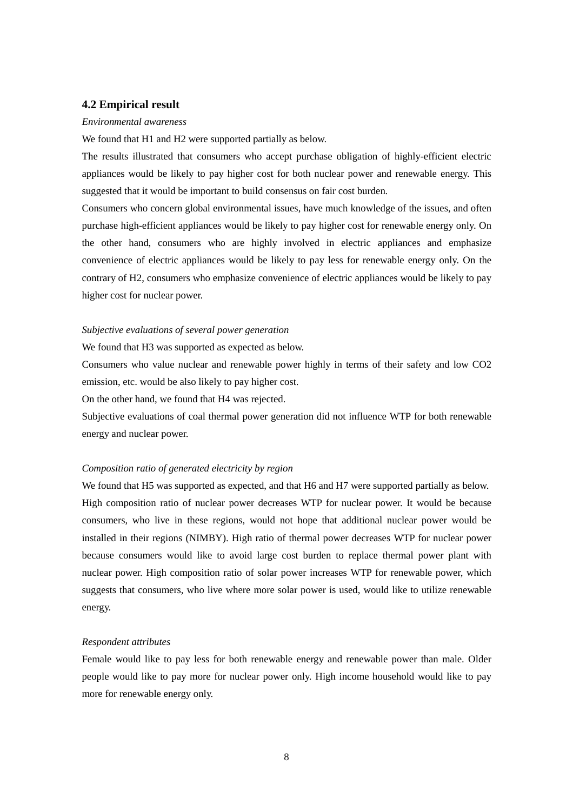### **4.2 Empirical result**

#### *Environmental awareness*

We found that H1 and H2 were supported partially as below.

The results illustrated that consumers who accept purchase obligation of highly-efficient electric appliances would be likely to pay higher cost for both nuclear power and renewable energy. This suggested that it would be important to build consensus on fair cost burden.

Consumers who concern global environmental issues, have much knowledge of the issues, and often purchase high-efficient appliances would be likely to pay higher cost for renewable energy only. On the other hand, consumers who are highly involved in electric appliances and emphasize convenience of electric appliances would be likely to pay less for renewable energy only. On the contrary of H2, consumers who emphasize convenience of electric appliances would be likely to pay higher cost for nuclear power.

#### *Subjective evaluations of several power generation*

We found that H3 was supported as expected as below.

Consumers who value nuclear and renewable power highly in terms of their safety and low CO2 emission, etc. would be also likely to pay higher cost.

On the other hand, we found that H4 was rejected.

Subjective evaluations of coal thermal power generation did not influence WTP for both renewable energy and nuclear power.

## *Composition ratio of generated electricity by region*

We found that H5 was supported as expected, and that H6 and H7 were supported partially as below. High composition ratio of nuclear power decreases WTP for nuclear power. It would be because consumers, who live in these regions, would not hope that additional nuclear power would be installed in their regions (NIMBY). High ratio of thermal power decreases WTP for nuclear power because consumers would like to avoid large cost burden to replace thermal power plant with nuclear power. High composition ratio of solar power increases WTP for renewable power, which suggests that consumers, who live where more solar power is used, would like to utilize renewable energy.

### *Respondent attributes*

Female would like to pay less for both renewable energy and renewable power than male. Older people would like to pay more for nuclear power only. High income household would like to pay more for renewable energy only.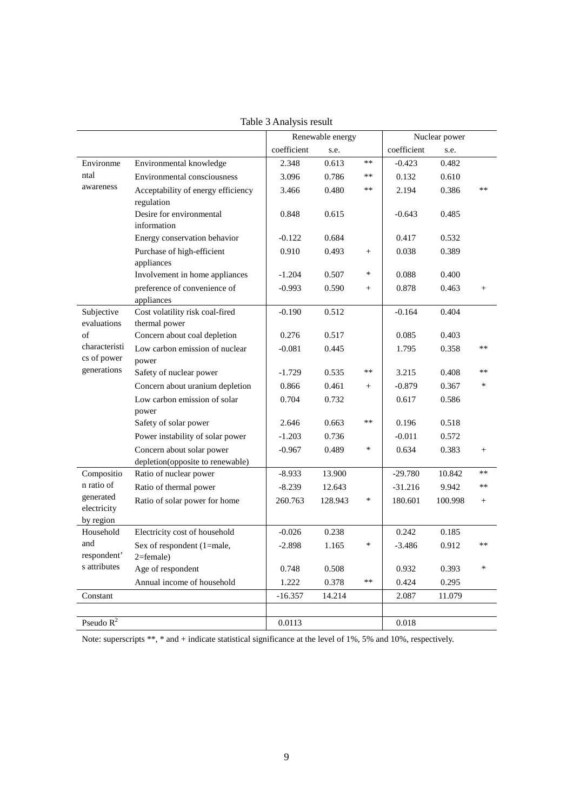|                           |                                                  |             | Renewable energy |        |             | Nuclear power |        |
|---------------------------|--------------------------------------------------|-------------|------------------|--------|-------------|---------------|--------|
|                           |                                                  | coefficient | s.e.             |        | coefficient | s.e.          |        |
| Environme                 | Environmental knowledge                          | 2.348       | 0.613            | $**$   | $-0.423$    | 0.482         |        |
| ntal                      | Environmental consciousness                      | 3.096       | 0.786            | **     | 0.132       | 0.610         |        |
| awareness                 | Acceptability of energy efficiency               | 3.466       | 0.480            | **     | 2.194       | 0.386         | **     |
|                           | regulation                                       |             |                  |        |             |               |        |
|                           | Desire for environmental                         | 0.848       | 0.615            |        | $-0.643$    | 0.485         |        |
|                           | information                                      |             |                  |        |             |               |        |
|                           | Energy conservation behavior                     | $-0.122$    | 0.684            |        | 0.417       | 0.532         |        |
|                           | Purchase of high-efficient                       | 0.910       | 0.493            | $^{+}$ | 0.038       | 0.389         |        |
|                           | appliances                                       |             |                  |        |             |               |        |
|                           | Involvement in home appliances                   | $-1.204$    | 0.507            | *      | 0.088       | 0.400         |        |
|                           | preference of convenience of                     | $-0.993$    | 0.590            | $^{+}$ | 0.878       | 0.463         | $^{+}$ |
|                           | appliances                                       |             |                  |        |             |               |        |
| Subjective<br>evaluations | Cost volatility risk coal-fired<br>thermal power | $-0.190$    | 0.512            |        | $-0.164$    | 0.404         |        |
| of                        | Concern about coal depletion                     | 0.276       | 0.517            |        | 0.085       | 0.403         |        |
| characteristi             | Low carbon emission of nuclear                   | $-0.081$    | 0.445            |        | 1.795       | 0.358         | **     |
| cs of power               | power                                            |             |                  |        |             |               |        |
| generations               | Safety of nuclear power                          | $-1.729$    | 0.535            | **     | 3.215       | 0.408         | $**$   |
|                           | Concern about uranium depletion                  | 0.866       | 0.461            | $^{+}$ | $-0.879$    | 0.367         | $\ast$ |
|                           | Low carbon emission of solar                     | 0.704       | 0.732            |        | 0.617       | 0.586         |        |
|                           | power                                            |             |                  |        |             |               |        |
|                           | Safety of solar power                            | 2.646       | 0.663            | $**$   | 0.196       | 0.518         |        |
|                           | Power instability of solar power                 | $-1.203$    | 0.736            |        | $-0.011$    | 0.572         |        |
|                           | Concern about solar power                        | $-0.967$    | 0.489            | $\ast$ | 0.634       | 0.383         | $^{+}$ |
|                           | depletion(opposite to renewable)                 |             |                  |        |             |               |        |
| Compositio                | Ratio of nuclear power                           | $-8.933$    | 13.900           |        | $-29.780$   | 10.842        | **     |
| n ratio of                | Ratio of thermal power                           | $-8.239$    | 12.643           |        | $-31.216$   | 9.942         | **     |
| generated                 | Ratio of solar power for home                    | 260.763     | 128.943          | $\ast$ | 180.601     | 100.998       | $^{+}$ |
| electricity               |                                                  |             |                  |        |             |               |        |
| by region<br>Household    | Electricity cost of household                    | $-0.026$    | 0.238            |        | 0.242       | 0.185         |        |
| and                       |                                                  |             |                  | $\ast$ |             |               | $**$   |
| respondent'               | Sex of respondent (1=male,<br>$2$ =female)       | $-2.898$    | 1.165            |        | $-3.486$    | 0.912         |        |
| s attributes              | Age of respondent                                | 0.748       | 0.508            |        | 0.932       | 0.393         | $\ast$ |
|                           | Annual income of household                       | 1.222       | 0.378            | $**$   | 0.424       | 0.295         |        |
| Constant                  |                                                  | $-16.357$   | 14.214           |        | 2.087       | 11.079        |        |
|                           |                                                  |             |                  |        |             |               |        |
| Pseudo $\overline{R^2}$   |                                                  | 0.0113      |                  |        | 0.018       |               |        |
|                           |                                                  |             |                  |        |             |               |        |

Table 3 Analysis result

Note: superscripts \*\*, \* and + indicate statistical significance at the level of 1%, 5% and 10%, respectively.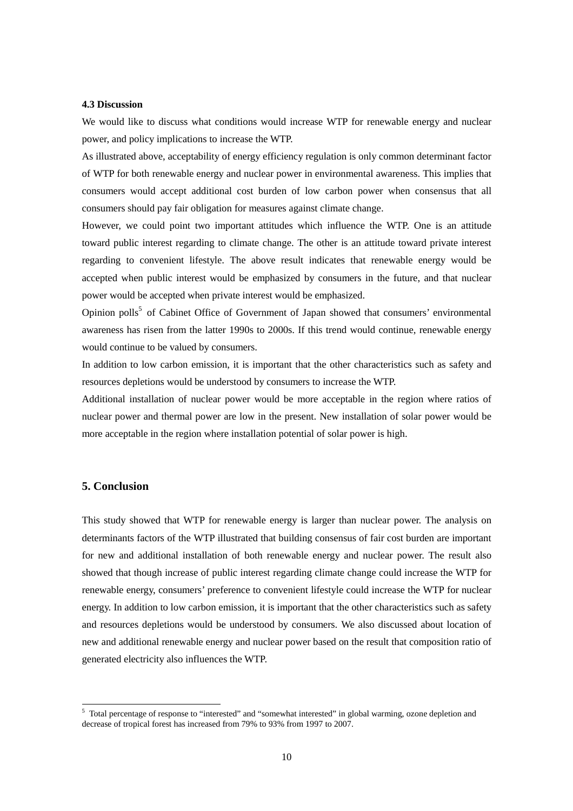### **4.3 Discussion**

We would like to discuss what conditions would increase WTP for renewable energy and nuclear power, and policy implications to increase the WTP.

As illustrated above, acceptability of energy efficiency regulation is only common determinant factor of WTP for both renewable energy and nuclear power in environmental awareness. This implies that consumers would accept additional cost burden of low carbon power when consensus that all consumers should pay fair obligation for measures against climate change.

However, we could point two important attitudes which influence the WTP. One is an attitude toward public interest regarding to climate change. The other is an attitude toward private interest regarding to convenient lifestyle. The above result indicates that renewable energy would be accepted when public interest would be emphasized by consumers in the future, and that nuclear power would be accepted when private interest would be emphasized.

Opinion polls<sup>5</sup> of Cabinet Office of Government of Japan showed that consumers' environmental awareness has risen from the latter 1990s to 2000s. If this trend would continue, renewable energy would continue to be valued by consumers.

In addition to low carbon emission, it is important that the other characteristics such as safety and resources depletions would be understood by consumers to increase the WTP.

Additional installation of nuclear power would be more acceptable in the region where ratios of nuclear power and thermal power are low in the present. New installation of solar power would be more acceptable in the region where installation potential of solar power is high.

# **5. Conclusion**

This study showed that WTP for renewable energy is larger than nuclear power. The analysis on determinants factors of the WTP illustrated that building consensus of fair cost burden are important for new and additional installation of both renewable energy and nuclear power. The result also showed that though increase of public interest regarding climate change could increase the WTP for renewable energy, consumers' preference to convenient lifestyle could increase the WTP for nuclear energy. In addition to low carbon emission, it is important that the other characteristics such as safety and resources depletions would be understood by consumers. We also discussed about location of new and additional renewable energy and nuclear power based on the result that composition ratio of generated electricity also influences the WTP.

<sup>&</sup>lt;sup>5</sup> Total percentage of response to "interested" and "somewhat interested" in global warming, ozone depletion and decrease of tropical forest has increased from 79% to 93% from 1997 to 2007.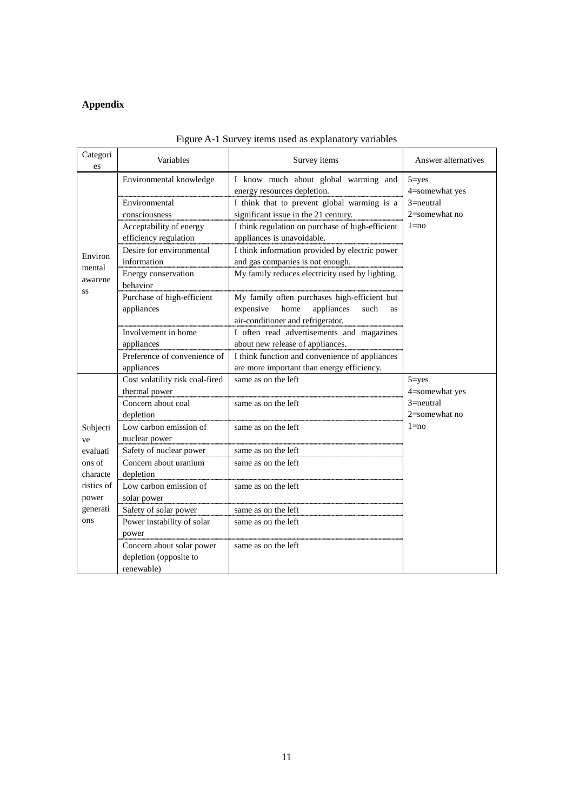# **Appendix**

| Categori<br>es | Variables                       | Survey items                                         | Answer alternatives |
|----------------|---------------------------------|------------------------------------------------------|---------------------|
|                | Environmental knowledge         | I know much about global warming and                 | $5 = yes$           |
|                |                                 | energy resources depletion.                          | 4=somewhat yes      |
|                | Environmental                   | I think that to prevent global warming is a          | $3 =$ neutral       |
|                | consciousness                   | significant issue in the 21 century.                 | $2$ =somewhat no    |
|                | Acceptability of energy         | I think regulation on purchase of high-efficient     | $1 = no$            |
|                | efficiency regulation           | appliances is unavoidable.                           |                     |
| Environ        | Desire for environmental        | I think information provided by electric power       |                     |
| mental         | information                     | and gas companies is not enough.                     |                     |
| awarene        | Energy conservation             | My family reduces electricity used by lighting.      |                     |
| SS             | behavior                        |                                                      |                     |
|                | Purchase of high-efficient      | My family often purchases high-efficient but         |                     |
|                | appliances                      | expensive<br>home<br>appliances<br>such<br><b>as</b> |                     |
|                |                                 | air-conditioner and refrigerator.                    |                     |
|                | Involvement in home             | I often read advertisements and magazines            |                     |
|                | appliances                      | about new release of appliances.                     |                     |
|                | Preference of convenience of    | I think function and convenience of appliances       |                     |
|                | appliances                      | are more important than energy efficiency.           |                     |
|                | Cost volatility risk coal-fired | same as on the left                                  | $5 = yes$           |
|                | thermal power                   |                                                      | 4=somewhat yes      |
|                | Concern about coal              | same as on the left                                  | $3 =$ neutral       |
|                | depletion                       |                                                      | $2$ =somewhat no    |
| Subjecti       | Low carbon emission of          | same as on the left                                  | $1 = no$            |
| ve             | nuclear power                   |                                                      |                     |
| evaluati       | Safety of nuclear power         | same as on the left                                  |                     |
| ons of         | Concern about uranium           | same as on the left                                  |                     |
| characte       | depletion                       |                                                      |                     |
| ristics of     | Low carbon emission of          | same as on the left                                  |                     |
| power          | solar power                     |                                                      |                     |
| generati       | Safety of solar power           | same as on the left                                  |                     |
| ons            | Power instability of solar      | same as on the left                                  |                     |
|                | power                           |                                                      |                     |
|                | Concern about solar power       | same as on the left                                  |                     |
|                | depletion (opposite to          |                                                      |                     |
|                | renewable)                      |                                                      |                     |

# Figure A-1 Survey items used as explanatory variables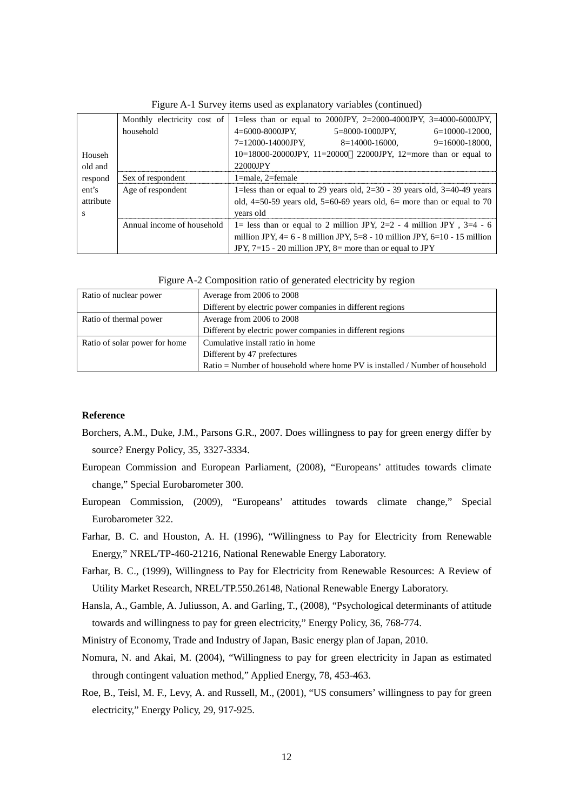|           | Monthly electricity cost of | 1=less than or equal to 2000JPY, 2=2000-4000JPY, 3=4000-6000JPY,             |  |  |
|-----------|-----------------------------|------------------------------------------------------------------------------|--|--|
|           | household                   | $4 = 6000 - 8000$ JPY.<br>$5 = 8000 - 1000$ JPY. $6 = 10000 - 12000$ .       |  |  |
|           |                             | 7=12000-14000JPY.<br>$8=14000-16000$ , $9=16000-18000$                       |  |  |
| Househ    |                             | $10=18000-20000$ JPY, $11=20000$ 22000 JPY, $12=$ more than or equal to      |  |  |
| old and   |                             | 22000JPY                                                                     |  |  |
| respond   | Sex of respondent           | $1$ =male. $2$ =female                                                       |  |  |
| ent's     | Age of respondent           | 1=less than or equal to 29 years old, $2=30 - 39$ years old, $3=40-49$ years |  |  |
| attribute |                             | old, $4=50-59$ years old, $5=60-69$ years old, $6=$ more than or equal to 70 |  |  |
| s         |                             | years old                                                                    |  |  |
|           | Annual income of household  | 1= less than or equal to 2 million JPY, $2=2$ - 4 million JPY, $3=4$ - 6     |  |  |
|           |                             | million JPY, $4=6-8$ million JPY, $5=8-10$ million JPY, $6=10-15$ million    |  |  |
|           |                             | JPY, $7=15$ - 20 million JPY, $8=$ more than or equal to JPY                 |  |  |

Figure A-1 Survey items used as explanatory variables (continued)

Figure A-2 Composition ratio of generated electricity by region

| Ratio of nuclear power        | Average from 2006 to 2008                                                    |  |
|-------------------------------|------------------------------------------------------------------------------|--|
|                               | Different by electric power companies in different regions                   |  |
| Ratio of thermal power        | Average from 2006 to 2008                                                    |  |
|                               | Different by electric power companies in different regions                   |  |
| Ratio of solar power for home | Cumulative install ratio in home                                             |  |
|                               | Different by 47 prefectures                                                  |  |
|                               | Ratio = Number of household where home PV is installed / Number of household |  |

### **Reference**

- Borchers, A.M., Duke, J.M., Parsons G.R., 2007. Does willingness to pay for green energy differ by source? Energy Policy, 35, 3327-3334.
- European Commission and European Parliament, (2008), "Europeans' attitudes towards climate change," Special Eurobarometer 300.
- European Commission, (2009), "Europeans' attitudes towards climate change," Special Eurobarometer 322.
- Farhar, B. C. and Houston, A. H. (1996), "Willingness to Pay for Electricity from Renewable Energy," NREL/TP-460-21216, National Renewable Energy Laboratory.
- Farhar, B. C., (1999), Willingness to Pay for Electricity from Renewable Resources: A Review of Utility Market Research, NREL/TP.550.26148, National Renewable Energy Laboratory.
- Hansla, A., Gamble, A. Juliusson, A. and Garling, T., (2008), "Psychological determinants of attitude towards and willingness to pay for green electricity," Energy Policy, 36, 768-774.
- Ministry of Economy, Trade and Industry of Japan, Basic energy plan of Japan, 2010.
- Nomura, N. and Akai, M. (2004), "Willingness to pay for green electricity in Japan as estimated through contingent valuation method," Applied Energy, 78, 453-463.
- Roe, B., Teisl, M. F., Levy, A. and Russell, M., (2001), "US consumers' willingness to pay for green electricity," Energy Policy, 29, 917-925.